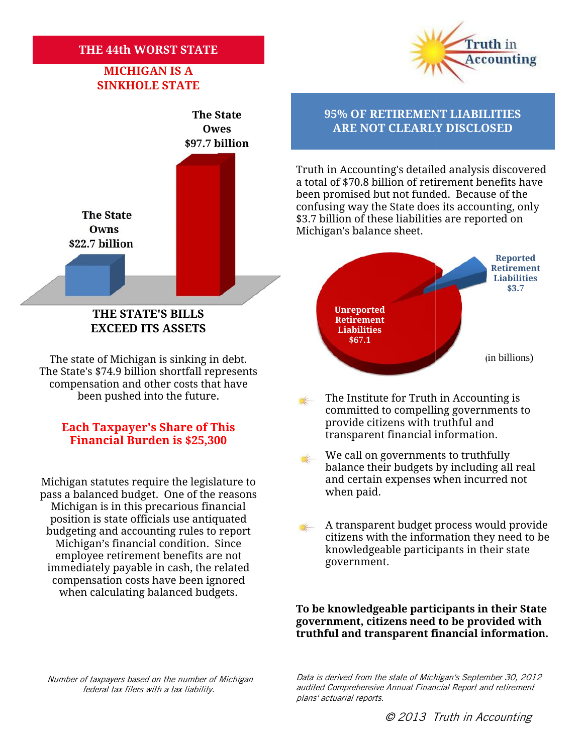## **THE 44th WORST STATE WORST STATE**

# **MICHIGAN IS A SINKHOLE STATE**



### **THE STATE'S BILLS EXCEED ITS ASSETS BILLSEXCEED**

The state of Michigan is sinking in debt. The State's \$74.9 billion shortfall represents The state of Michigan is sinking in debt.<br>The State's \$74.9 billion shortfall represents<br>compensation and other costs that have been pushed into the future. been

## **Each Taxpayer's Share of This**<br>**Financial Burden is \$25,300 Example 11 ransparent financial information. Financial Burden is \$25,300**

Michigan statutes require the legislature to the land certain<br>nass a balanced budget . One of the reasons the when paid. pass a balanced budget. One of the reasons Michigan is in this precarious financial position is state officials use antiquated budgeting and accounting rules to report Michigan's financial condition. Since employee retirement benefits are not immediately payable in cash, the related compensation costs have been ignored when calculating balanced budgets. so a balanced budget. One of the reasons<br>
Michigan is in this precarious financial<br>
position is state officials use antiquated<br>
udgeting and accounting rules to report<br>
Michigan's financial condition. Since<br>
employee retir

Truth in **Accounting** 

# **The State 95% OF RETIREMENT LIABILITIES Owes ARE NOT CLEARLY DISCLOSED**

Truth in Accounting's detailed analysis discovered a total of \$70.8 billion of retirement benefits have been promised but not funded. Because of the confusing way the State does its accounting, only \$3.7 billion of these liabilities are reported on Michigan's balance sheet. Truth in Accounting's detailed analysis discovered<br>a total of \$70.8 billion of retirement benefits have<br>been promised but not funded. Because of the<br>confusing way the State does its accounting, only<br>\$3.7 billion of these l



- The Institute for Truth in Accounting is committed to compelling governments to provide citizens with truthful and
- We call on governments to truthfully balance their budgets by including all real and certain expenses when incurred not
- A transparent budget process would provide citizens with the information they need to be knowledgeable participants in their state government.

**To be knowledgeable participants in their State** To be knowledgeable participants in their State<br>government, citizens need to be provided with **truthful and transparent financial information.**

*federal tax filers with a tax liability.*

*Data is derived from the state of Michigan's September 30, 2012 audited Comprehensive Annual Financial Report and retirement plans' actuarial reports. Number of taxpayers based on the number of Michigan is 30, Financial and reports.Number of tax*